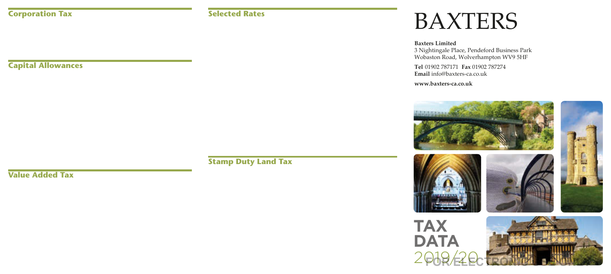# BAXTERS

**Baxters Limited** 3 Nightingale Place, Pendeford Business Park Wobaston Road, Wolverhampton WV9 5HF

**Tel** 01902 787171 **Fax** 01902 787274 **Email** info@baxters-ca.co.uk

**www.baxters-ca.co.uk**



2019/20 **For the Little**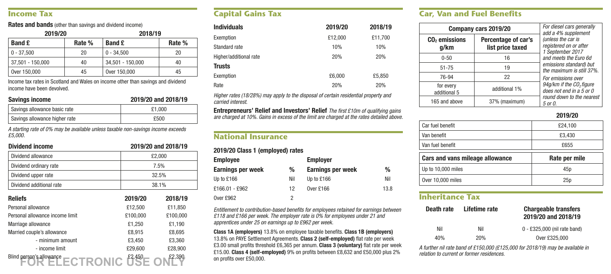#### **Income Tax**

**Rates and bands** (other than savings and dividend income)

| 2019/20          |        | 2018/19          |        |
|------------------|--------|------------------|--------|
| <b>Band £</b>    | Rate % | <b>Band £</b>    | Rate % |
| $0 - 37.500$     | 20     | $0 - 34.500$     | 20     |
| 37.501 - 150.000 | 40     | 34,501 - 150,000 | 40     |
| Over 150,000     | 45     | Over 150,000     | 45     |

Income tax rates in Scotland and Wales on income other than savings and dividend income have been devolved.

#### **Savings income 2019/20 and 2018/19**

| Savings allowance basic rate  | £1.000 |
|-------------------------------|--------|
| Savings allowance higher rate | £500   |

*A starting rate of 0% may be available unless taxable non-savings income exceeds £5,000.*

#### **Dividend income 2019/20 and 2018/19**

| Dividend allowance       | £2,000 |
|--------------------------|--------|
| Dividend ordinary rate   | 7.5%   |
| Dividend upper rate      | 32.5%  |
| Dividend additional rate | 38.1%  |

| <b>Reliefs</b>                  | 2019/20  | 2018/19  |
|---------------------------------|----------|----------|
| Personal allowance              | £12.500  | £11.850  |
| Personal allowance income limit | £100.000 | £100,000 |
| Marriage allowance              | £1,250   | £1,190   |
| Married couple's allowance      | £8,915   | £8.695   |
| - minimum amount                | £3,450   | £3.360   |
| - income limit                  | £29,600  | £28,900  |
| Blind person's allowance        | £2.450   | £2.390   |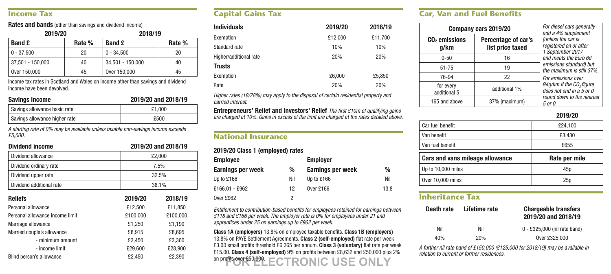# **Capital Gains Tax**

| <b>Individuals</b>     | 2019/20 | 2018/19 |
|------------------------|---------|---------|
| Exemption              | £12.000 | £11.700 |
| Standard rate          | 10%     | 10%     |
| Higher/additional rate | 20%     | 20%     |
| <b>Trusts</b>          |         |         |
| Exemption              | £6,000  | £5.850  |
| Rate                   | 20%     | 20%     |

*Higher rates (18/28%) may apply to the disposal of certain residential property and carried interest.*

**Entrepreneurs' Relief and Investors' Relief** *The first £10m of qualifying gains are charged at 10%. Gains in excess of the limit are charged at the rates detailed above.*

#### **National Insurance**

#### **2019/20 Class 1 (employed) rates**

| <b>Employee</b>   |     | <b>Employer</b>          |      |  |
|-------------------|-----|--------------------------|------|--|
| Earnings per week | %   | <b>Earnings per week</b> | %    |  |
| Up to £166        | Nil | Up to £166               | Nil  |  |
| £166.01 - £962    | 12  | Over £166                | 13.8 |  |
| Over £962         | 2   |                          |      |  |

*Entitlement to contribution-based benefits for employees retained for earnings between £118 and £166 per week. The employer rate is 0% for employees under 21 and apprentices under 25 on earnings up to £962 per week.*

**Class 1A (employers)** 13.8% on employee taxable benefits. **Class 1B (employers)**  13.8% on PAYE Settlement Agreements. **Class 2 (self-employed)** flat rate per week £3.00 small profits threshold £6,365 per annum. **Class 3 (voluntary)** flat rate per week £15.00. **Class 4 (self-employed)** 9% on profits between £8,632 and £50,000 plus 2% on profits over £50,000. **FOR ELECTRONIC USE ON LARGE ONLY 2000 LIST CONCRETE ON SOLUTION**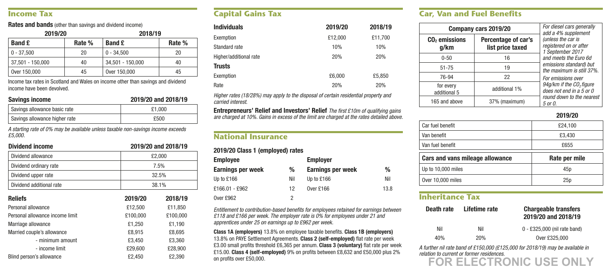### **Car, Van and Fuel Benefits**

| Company cars 2019/20      | For diesel cars generally<br>add a 4% supplement |                                                                      |  |
|---------------------------|--------------------------------------------------|----------------------------------------------------------------------|--|
| $CO2$ emissions<br>g/km   | Percentage of car's<br>list price taxed          | (unless the car is<br>reaistered on or after<br>1 September 2017     |  |
| $0 - 50$                  | 16                                               | and meets the Euro 6d                                                |  |
| $51 - 75$                 | 19                                               | emissions standard) but<br>the maximum is still 37%.                 |  |
| 76-94                     | 22                                               | For emissions over                                                   |  |
| for every<br>additional 5 | additional 1%                                    | 94g/km if the CO <sub>2</sub> figure<br>does not end in $a 5$ or $0$ |  |
| 165 and above             | 37% (maximum)                                    | round down to the nearest<br>5 or 0.                                 |  |

**2019/20**

| Car fuel benefit                | £24.100       |
|---------------------------------|---------------|
| Van benefit                     | £3.430        |
| Van fuel benefit                | £655          |
|                                 |               |
| Cars and vans mileage allowance | Rate per mile |
| Up to 10,000 miles              | 45p           |

# **Inheritance Tax**

| Death rate | Lifetime rate | <b>Chargeable transfers</b><br>2019/20 and 2018/19 |
|------------|---------------|----------------------------------------------------|
| Nil        | Nil           | 0 - £325,000 (nil rate band)                       |
| 40%        | 20%           | Over £325,000                                      |

*A further nil rate band of £150,000 (£125,000 for 2018/19) may be available in relation to current or former residences.*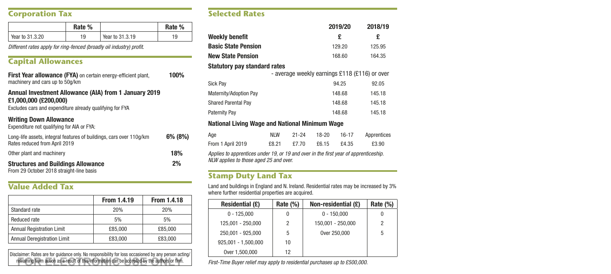### **Corporation Tax**

|                 | Rate % |                 | Rate % |
|-----------------|--------|-----------------|--------|
| Year to 31.3.20 | 19     | Year to 31.3.19 | 19     |

*Different rates apply for ring-fenced (broadly oil industry) profit.*

### **Capital Allowances**

| <b>First Year allowance (FYA)</b> on certain energy-efficient plant,<br>machinery and cars up to 50g/km                                    | 100%    |
|--------------------------------------------------------------------------------------------------------------------------------------------|---------|
| Annual Investment Allowance (AIA) from 1 January 2019<br>£1.000.000 (£200.000)<br>Excludes cars and expenditure already qualifying for FYA |         |
| <b>Writing Down Allowance</b><br>Expenditure not qualifying for AIA or FYA:                                                                |         |
| Long-life assets, integral features of buildings, cars over 110g/km<br>Rates reduced from April 2019                                       | 6% (8%) |
| Other plant and machinery                                                                                                                  | 18%     |
| <b>Structures and Buildings Allowance</b><br>From 29 October 2018 straight-line basis                                                      | 2%      |

# **Value Added Tax**

|                                  | From 1.4.19 | <b>From 1.4.18</b> |
|----------------------------------|-------------|--------------------|
| Standard rate                    | 20%         | 20%                |
| Reduced rate                     | 5%          | 5%                 |
| <b>Annual Registration Limit</b> | £85.000     | £85.000            |
| Annual Deregistration Limit      | £83,000     | £83,000            |

Disclaimer: Rates are for guidance only. No responsibility for loss occasioned by any person acting/ refraining from action as a result of this information can be accepted by the authors or firm.